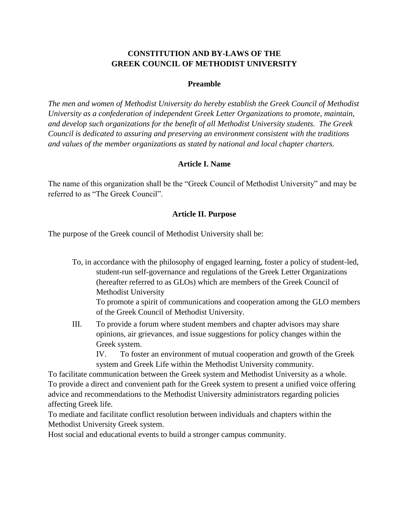# **CONSTITUTION AND BY-LAWS OF THE GREEK COUNCIL OF METHODIST UNIVERSITY**

# **Preamble**

*The men and women of Methodist University do hereby establish the Greek Council of Methodist University as a confederation of independent Greek Letter Organizations to promote, maintain, and develop such organizations for the benefit of all Methodist University students. The Greek Council is dedicated to assuring and preserving an environment consistent with the traditions and values of the member organizations as stated by national and local chapter charters.*

# **Article I. Name**

The name of this organization shall be the "Greek Council of Methodist University" and may be referred to as "The Greek Council".

# **Article II. Purpose**

The purpose of the Greek council of Methodist University shall be:

To, in accordance with the philosophy of engaged learning, foster a policy of student-led, student-run self-governance and regulations of the Greek Letter Organizations (hereafter referred to as GLOs) which are members of the Greek Council of Methodist University To promote a spirit of communications and cooperation among the GLO members of the Greek Council of Methodist University.

III. To provide a forum where student members and chapter advisors may share opinions, air grievances, and issue suggestions for policy changes within the Greek system.

IV. To foster an environment of mutual cooperation and growth of the Greek system and Greek Life within the Methodist University community.

To facilitate communication between the Greek system and Methodist University as a whole. To provide a direct and convenient path for the Greek system to present a unified voice offering advice and recommendations to the Methodist University administrators regarding policies affecting Greek life.

To mediate and facilitate conflict resolution between individuals and chapters within the Methodist University Greek system.

Host social and educational events to build a stronger campus community.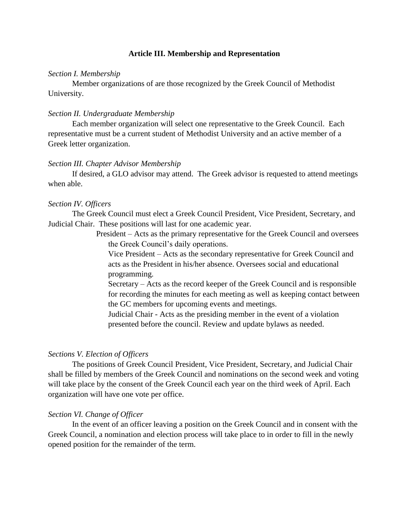# **Article III. Membership and Representation**

### *Section I. Membership*

Member organizations of are those recognized by the Greek Council of Methodist University.

### *Section II. Undergraduate Membership*

Each member organization will select one representative to the Greek Council. Each representative must be a current student of Methodist University and an active member of a Greek letter organization.

### *Section III. Chapter Advisor Membership*

If desired, a GLO advisor may attend. The Greek advisor is requested to attend meetings when able.

### *Section IV. Officers*

The Greek Council must elect a Greek Council President, Vice President, Secretary, and Judicial Chair. These positions will last for one academic year.

> President – Acts as the primary representative for the Greek Council and oversees the Greek Council's daily operations.

Vice President – Acts as the secondary representative for Greek Council and acts as the President in his/her absence. Oversees social and educational programming.

Secretary – Acts as the record keeper of the Greek Council and is responsible for recording the minutes for each meeting as well as keeping contact between the GC members for upcoming events and meetings.

Judicial Chair - Acts as the presiding member in the event of a violation presented before the council. Review and update bylaws as needed.

## *Sections V. Election of Officers*

The positions of Greek Council President, Vice President, Secretary, and Judicial Chair shall be filled by members of the Greek Council and nominations on the second week and voting will take place by the consent of the Greek Council each year on the third week of April. Each organization will have one vote per office.

#### *Section VI. Change of Officer*

In the event of an officer leaving a position on the Greek Council and in consent with the Greek Council, a nomination and election process will take place to in order to fill in the newly opened position for the remainder of the term.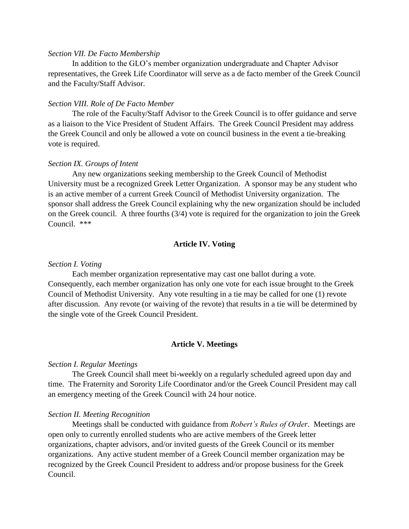#### *Section VII. De Facto Membership*

In addition to the GLO's member organization undergraduate and Chapter Advisor representatives, the Greek Life Coordinator will serve as a de facto member of the Greek Council and the Faculty/Staff Advisor.

### *Section VIII. Role of De Facto Member*

The role of the Faculty/Staff Advisor to the Greek Council is to offer guidance and serve as a liaison to the Vice President of Student Affairs. The Greek Council President may address the Greek Council and only be allowed a vote on council business in the event a tie-breaking vote is required.

### *Section IX. Groups of Intent*

Any new organizations seeking membership to the Greek Council of Methodist University must be a recognized Greek Letter Organization. A sponsor may be any student who is an active member of a current Greek Council of Methodist University organization. The sponsor shall address the Greek Council explaining why the new organization should be included on the Greek council. A three fourths (3/4) vote is required for the organization to join the Greek Council. \*\*\*

# **Article IV. Voting**

#### *Section I. Voting*

Each member organization representative may cast one ballot during a vote. Consequently, each member organization has only one vote for each issue brought to the Greek Council of Methodist University. Any vote resulting in a tie may be called for one (1) revote after discussion. Any revote (or waiving of the revote) that results in a tie will be determined by the single vote of the Greek Council President.

#### **Article V. Meetings**

#### *Section I. Regular Meetings*

The Greek Council shall meet bi-weekly on a regularly scheduled agreed upon day and time. The Fraternity and Sorority Life Coordinator and/or the Greek Council President may call an emergency meeting of the Greek Council with 24 hour notice.

#### *Section II. Meeting Recognition*

Meetings shall be conducted with guidance from *Robert's Rules of Order*. Meetings are open only to currently enrolled students who are active members of the Greek letter organizations, chapter advisors, and/or invited guests of the Greek Council or its member organizations. Any active student member of a Greek Council member organization may be recognized by the Greek Council President to address and/or propose business for the Greek Council.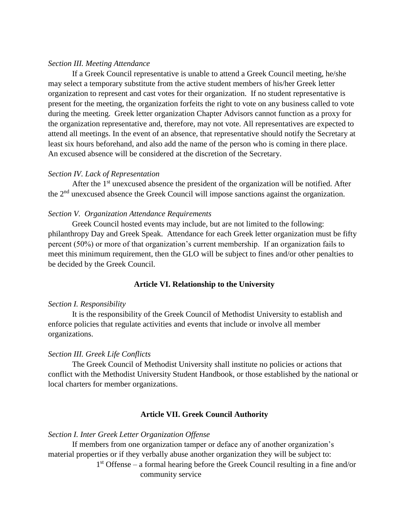### *Section III. Meeting Attendance*

If a Greek Council representative is unable to attend a Greek Council meeting, he/she may select a temporary substitute from the active student members of his/her Greek letter organization to represent and cast votes for their organization. If no student representative is present for the meeting, the organization forfeits the right to vote on any business called to vote during the meeting. Greek letter organization Chapter Advisors cannot function as a proxy for the organization representative and, therefore, may not vote. All representatives are expected to attend all meetings. In the event of an absence, that representative should notify the Secretary at least six hours beforehand, and also add the name of the person who is coming in there place. An excused absence will be considered at the discretion of the Secretary.

# *Section IV. Lack of Representation*

After the  $1<sup>st</sup>$  unexcused absence the president of the organization will be notified. After the 2nd unexcused absence the Greek Council will impose sanctions against the organization.

### *Section V. Organization Attendance Requirements*

Greek Council hosted events may include, but are not limited to the following: philanthropy Day and Greek Speak. Attendance for each Greek letter organization must be fifty percent (50%) or more of that organization's current membership. If an organization fails to meet this minimum requirement, then the GLO will be subject to fines and/or other penalties to be decided by the Greek Council.

# **Article VI. Relationship to the University**

#### *Section I. Responsibility*

It is the responsibility of the Greek Council of Methodist University to establish and enforce policies that regulate activities and events that include or involve all member organizations.

# *Section III. Greek Life Conflicts*

The Greek Council of Methodist University shall institute no policies or actions that conflict with the Methodist University Student Handbook, or those established by the national or local charters for member organizations.

# **Article VII. Greek Council Authority**

### *Section I. Inter Greek Letter Organization Offense*

If members from one organization tamper or deface any of another organization's material properties or if they verbally abuse another organization they will be subject to: 1 st Offense – a formal hearing before the Greek Council resulting in a fine and/or

community service